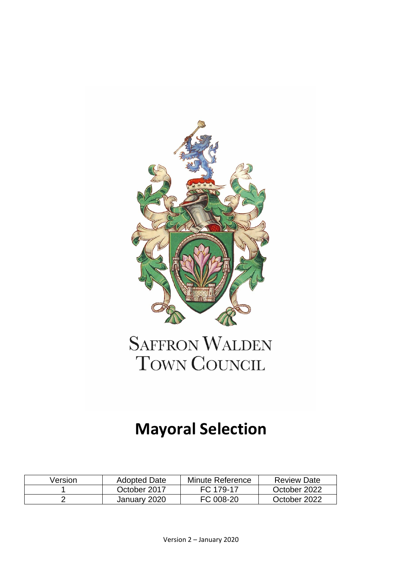

## **SAFFRON WALDEN** TOWN COUNCIL

## **Mayoral Selection**

| Version | <b>Adopted Date</b> | Minute Reference | <b>Review Date</b> |
|---------|---------------------|------------------|--------------------|
|         | October 2017        | FC 179-17        | October 2022       |
|         | January 2020        | FC 008-20        | October 2022       |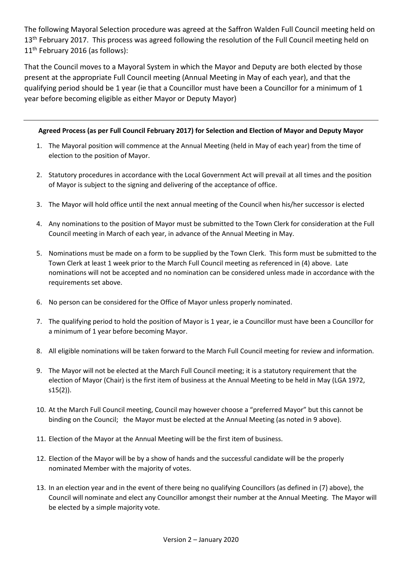The following Mayoral Selection procedure was agreed at the Saffron Walden Full Council meeting held on 13<sup>th</sup> February 2017. This process was agreed following the resolution of the Full Council meeting held on 11<sup>th</sup> February 2016 (as follows):

That the Council moves to a Mayoral System in which the Mayor and Deputy are both elected by those present at the appropriate Full Council meeting (Annual Meeting in May of each year), and that the qualifying period should be 1 year (ie that a Councillor must have been a Councillor for a minimum of 1 year before becoming eligible as either Mayor or Deputy Mayor)

## **Agreed Process (as per Full Council February 2017) for Selection and Election of Mayor and Deputy Mayor**

- 1. The Mayoral position will commence at the Annual Meeting (held in May of each year) from the time of election to the position of Mayor.
- 2. Statutory procedures in accordance with the Local Government Act will prevail at all times and the position of Mayor is subject to the signing and delivering of the acceptance of office.
- 3. The Mayor will hold office until the next annual meeting of the Council when his/her successor is elected
- 4. Any nominations to the position of Mayor must be submitted to the Town Clerk for consideration at the Full Council meeting in March of each year, in advance of the Annual Meeting in May.
- 5. Nominations must be made on a form to be supplied by the Town Clerk. This form must be submitted to the Town Clerk at least 1 week prior to the March Full Council meeting as referenced in (4) above. Late nominations will not be accepted and no nomination can be considered unless made in accordance with the requirements set above.
- 6. No person can be considered for the Office of Mayor unless properly nominated.
- 7. The qualifying period to hold the position of Mayor is 1 year, ie a Councillor must have been a Councillor for a minimum of 1 year before becoming Mayor.
- 8. All eligible nominations will be taken forward to the March Full Council meeting for review and information.
- 9. The Mayor will not be elected at the March Full Council meeting; it is a statutory requirement that the election of Mayor (Chair) is the first item of business at the Annual Meeting to be held in May (LGA 1972, s15(2)).
- 10. At the March Full Council meeting, Council may however choose a "preferred Mayor" but this cannot be binding on the Council; the Mayor must be elected at the Annual Meeting (as noted in 9 above).
- 11. Election of the Mayor at the Annual Meeting will be the first item of business.
- 12. Election of the Mayor will be by a show of hands and the successful candidate will be the properly nominated Member with the majority of votes.
- 13. In an election year and in the event of there being no qualifying Councillors (as defined in (7) above), the Council will nominate and elect any Councillor amongst their number at the Annual Meeting. The Mayor will be elected by a simple majority vote.